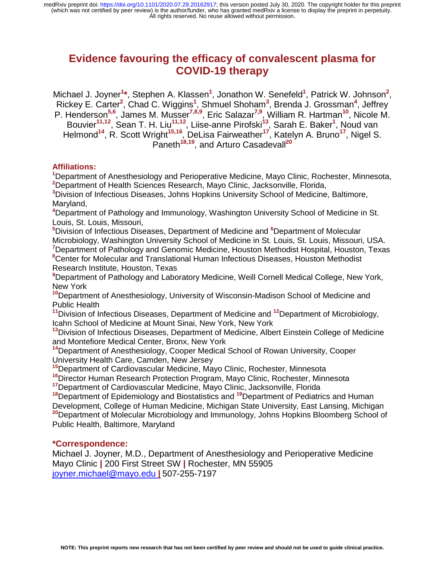# **Evidence favouring the efficacy of convalescent plasma for COVID-19 therapy**

Michael J. Joyner<sup>1\*</sup>, Stephen A. Klassen<sup>1</sup>, Jonathon W. Senefeld<sup>1</sup>, Patrick W. Johnson<sup>2</sup>, Rickey E. Carter<sup>2</sup>, Chad C. Wiggins<sup>1</sup>, Shmuel Shoham<sup>3</sup>, Brenda J. Grossman<sup>4</sup>, Jeffrey P. Henderson**5,6**, James M. Musser**7,8,9**, Eric Salazar**7,9**, William R. Hartman**<sup>10</sup>**, Nicole M. Bouvier**11,12**, Sean T. H. Liu**11,12**, Liise-anne Pirofski**<sup>13</sup>**, Sarah E. Baker**<sup>1</sup>** , Noud van Helmond**<sup>14</sup>**, R. Scott Wright**15,16**, DeLisa Fairweather**<sup>17</sup>**, Katelyn A. Bruno**<sup>17</sup>**, Nigel S. Paneth<sup>18,19</sup>, and Arturo Casadevall<sup>20</sup>

## **Affiliations:**

**1** Department of Anesthesiology and Perioperative Medicine, Mayo Clinic, Rochester, Minnesota, **2** Department of Health Sciences Research, Mayo Clinic, Jacksonville, Florida,

**3** Division of Infectious Diseases, Johns Hopkins University School of Medicine, Baltimore, Maryland,

**4** Department of Pathology and Immunology, Washington University School of Medicine in St. Louis, St. Louis, Missouri,

 Division of Infectious Diseases, Department of Medicine and **<sup>6</sup>** Department of Molecular Microbiology, Washington University School of Medicine in St. Louis, St. Louis, Missouri, USA. Department of Pathology and Genomic Medicine, Houston Methodist Hospital, Houston, Texas Center for Molecular and Translational Human Infectious Diseases, Houston Methodist

Research Institute, Houston, Texas

**9** Department of Pathology and Laboratory Medicine, Weill Cornell Medical College, New York, New York

**<sup>10</sup>**Department of Anesthesiology, University of Wisconsin-Madison School of Medicine and Public Health

**<sup>11</sup>**Division of Infectious Diseases, Department of Medicine and **<sup>12</sup>**Department of Microbiology, Icahn School of Medicine at Mount Sinai, New York, New York

**<sup>13</sup>**Division of Infectious Diseases, Department of Medicine, Albert Einstein College of Medicine and Montefiore Medical Center, Bronx, New York

**<sup>14</sup>**Department of Anesthesiology, Cooper Medical School of Rowan University, Cooper University Health Care, Camden, New Jersey

**<sup>15</sup>**Department of Cardiovascular Medicine, Mayo Clinic, Rochester, Minnesota

**<sup>16</sup>**Director Human Research Protection Program, Mayo Clinic, Rochester, Minnesota

**<sup>17</sup>**Department of Cardiovascular Medicine, Mayo Clinic, Jacksonville, Florida

**<sup>18</sup>**Department of Epidemiology and Biostatistics and **<sup>19</sup>**Department of Pediatrics and Human Development, College of Human Medicine, Michigan State University, East Lansing, Michigan **<sup>20</sup>**Department of Molecular Microbiology and Immunology, Johns Hopkins Bloomberg School of Public Health, Baltimore, Maryland

## **\*Correspondence:**

Michael J. Joyner, M.D., Department of Anesthesiology and Perioperative Medicine Mayo Clinic **|** 200 First Street SW **|** Rochester, MN 55905 joyner.michael@mayo.edu **|** 507-255-7197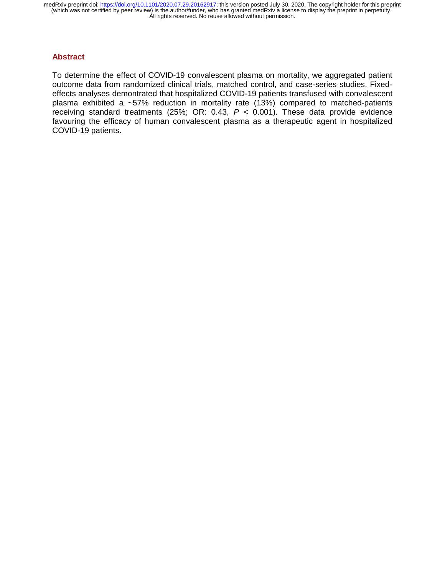#### **Abstract**

To determine the effect of COVID-19 convalescent plasma on mortality, we aggregated patient outcome data from randomized clinical trials, matched control, and case-series studies. Fixedeffects analyses demontrated that hospitalized COVID-19 patients transfused with convalescent plasma exhibited a ~57% reduction in mortality rate (13%) compared to matched-patients receiving standard treatments (25%; OR: 0.43,  $P < 0.001$ ). These data provide evidence favouring the efficacy of human convalescent plasma as a therapeutic agent in hospitalized COVID-19 patients.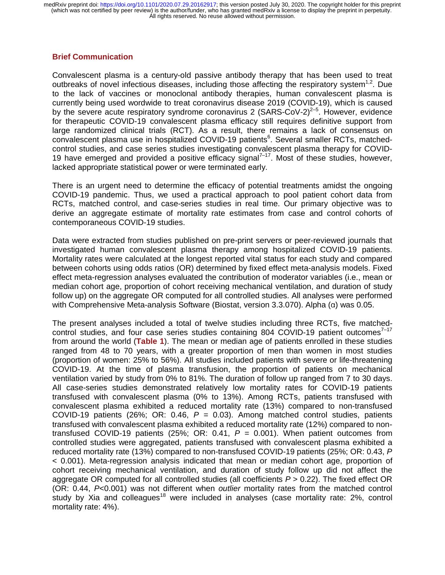## **Brief Communication**

Convalescent plasma is a century-old passive antibody therapy that has been used to treat outbreaks of novel infectious diseases, including those affecting the respiratory system<sup>1,2</sup>. Due to the lack of vaccines or monoclonal antibody therapies, human convalescent plasma is currently being used wordwide to treat coronavirus disease 2019 (COVID-19), which is caused by the severe acute respiratory syndrome coronavirus 2 (SARS-CoV-2)<sup>2-5</sup>. However, evidence for therapeutic COVID-19 convalescent plasma efficacy still requires definitive support from large randomized clinical trials (RCT). As a result, there remains a lack of consensus on convalescent plasma use in hospitalized COVID-19 patients<sup>6</sup>. Several smaller RCTs, matchedcontrol studies, and case series studies investigating convalescent plasma therapy for COVID-19 have emerged and provided a positive efficacy signal<sup>7–17</sup>. Most of these studies, however, lacked appropriate statistical power or were terminated early.

There is an urgent need to determine the efficacy of potential treatments amidst the ongoing COVID-19 pandemic. Thus, we used a practical approach to pool patient cohort data from RCTs, matched control, and case-series studies in real time. Our primary objective was to derive an aggregate estimate of mortality rate estimates from case and control cohorts of contemporaneous COVID-19 studies.

Data were extracted from studies published on pre-print servers or peer-reviewed journals that investigated human convalescent plasma therapy among hospitalized COVID-19 patients. Mortality rates were calculated at the longest reported vital status for each study and compared between cohorts using odds ratios (OR) determined by fixed effect meta-analysis models. Fixed effect meta-regression analyses evaluated the contribution of moderator variables (i.e., mean or median cohort age, proportion of cohort receiving mechanical ventilation, and duration of study follow up) on the aggregate OR computed for all controlled studies. All analyses were performed with Comprehensive Meta-analysis Software (Biostat, version 3.3.070). Alpha (α) was 0.05.

The present analyses included a total of twelve studies including three RCTs, five matchedcontrol studies, and four case series studies containing 804 COVID-19 patient outcomes $7-17$ from around the world (**Table 1**). The mean or median age of patients enrolled in these studies ranged from 48 to 70 years, with a greater proportion of men than women in most studies (proportion of women: 25% to 56%). All studies included patients with severe or life-threatening COVID-19. At the time of plasma transfusion, the proportion of patients on mechanical ventilation varied by study from 0% to 81%. The duration of follow up ranged from 7 to 30 days. All case-series studies demonstrated relatively low mortality rates for COVID-19 patients transfused with convalescent plasma (0% to 13%). Among RCTs, patients transfused with convalescent plasma exhibited a reduced mortality rate (13%) compared to non-transfused COVID-19 patients (26%; OR: 0.46,  $P = 0.03$ ). Among matched control studies, patients transfused with convalescent plasma exhibited a reduced mortality rate (12%) compared to nontransfused COVID-19 patients (25%; OR: 0.41,  $P = 0.001$ ). When patient outcomes from controlled studies were aggregated, patients transfused with convalescent plasma exhibited a reduced mortality rate (13%) compared to non-transfused COVID-19 patients (25%; OR: 0.43, *P*  < 0.001). Meta-regression analysis indicated that mean or median cohort age, proportion of cohort receiving mechanical ventilation, and duration of study follow up did not affect the aggregate OR computed for all controlled studies (all coefficients *P* > 0.22). The fixed effect OR (OR: 0.44, *P*<0.001) was not different when *outlier* mortality rates from the matched control study by Xia and colleagues<sup>18</sup> were included in analyses (case mortality rate:  $2\%$ , control mortality rate: 4%).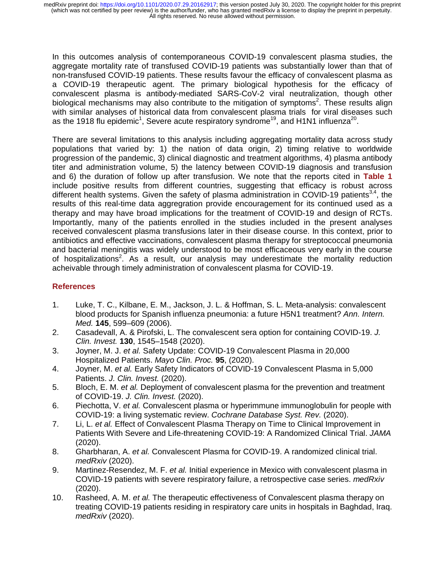In this outcomes analysis of contemporaneous COVID-19 convalescent plasma studies, the aggregate mortality rate of transfused COVID-19 patients was substantially lower than that of non-transfused COVID-19 patients. These results favour the efficacy of convalescent plasma as a COVID-19 therapeutic agent. The primary biological hypothesis for the efficacy of convalescent plasma is antibody-mediated SARS-CoV-2 viral neutralization, though other biological mechanisms may also contribute to the mitigation of symptoms<sup>2</sup>. These results align with similar analyses of historical data from convalescent plasma trials for viral diseases such as the 1918 flu epidemic<sup>1</sup>, Severe acute respiratory syndrome<sup>19</sup>, and H1N1 influenza<sup>20</sup>.

There are several limitations to this analysis including aggregating mortality data across study populations that varied by: 1) the nation of data origin, 2) timing relative to worldwide progression of the pandemic, 3) clinical diagnostic and treatment algorithms, 4) plasma antibody titer and administration volume, 5) the latency between COVID-19 diagnosis and transfusion and 6) the duration of follow up after transfusion. We note that the reports cited in **Table 1** include positive results from different countries, suggesting that efficacy is robust across different health systems. Given the safety of plasma administration in COVID-19 patients<sup>3,4</sup>, the results of this real-time data aggregration provide encouragement for its continued used as a therapy and may have broad implications for the treatment of COVID-19 and design of RCTs. Importantly, many of the patients enrolled in the studies included in the present analyses received convalescent plasma transfusions later in their disease course. In this context, prior to antibiotics and effective vaccinations, convalescent plasma therapy for streptococcal pneumonia and bacterial meningitis was widely understood to be most efficaceous very early in the course of hospitalizations<sup>2</sup>. As a result, our analysis may underestimate the mortality reduction acheivable through timely administration of convalescent plasma for COVID-19.

# **References**

- 1. Luke, T. C., Kilbane, E. M., Jackson, J. L. & Hoffman, S. L. Meta-analysis: convalescent blood products for Spanish influenza pneumonia: a future H5N1 treatment? *Ann. Intern. Med.* **145**, 599–609 (2006).
- 2. Casadevall, A. & Pirofski, L. The convalescent sera option for containing COVID-19. *J. Clin. Invest.* **130**, 1545–1548 (2020).
- 3. Joyner, M. J. *et al.* Safety Update: COVID-19 Convalescent Plasma in 20,000 Hospitalized Patients. *Mayo Clin. Proc.* **95**, (2020).
- 4. Joyner, M. *et al.* Early Safety Indicators of COVID-19 Convalescent Plasma in 5,000 Patients. *J. Clin. Invest.* (2020).
- 5. Bloch, E. M. *et al.* Deployment of convalescent plasma for the prevention and treatment of COVID-19. *J. Clin. Invest.* (2020).
- 6. Piechotta, V. *et al.* Convalescent plasma or hyperimmune immunoglobulin for people with COVID-19: a living systematic review. *Cochrane Database Syst. Rev.* (2020).
- 7. Li, L. *et al.* Effect of Convalescent Plasma Therapy on Time to Clinical Improvement in Patients With Severe and Life-threatening COVID-19: A Randomized Clinical Trial. *JAMA* (2020).
- 8. Gharbharan, A. *et al.* Convalescent Plasma for COVID-19. A randomized clinical trial. *medRxiv* (2020).
- 9. Martinez-Resendez, M. F. *et al.* Initial experience in Mexico with convalescent plasma in COVID-19 patients with severe respiratory failure, a retrospective case series. *medRxiv* (2020).
- 10. Rasheed, A. M. *et al.* The therapeutic effectiveness of Convalescent plasma therapy on treating COVID-19 patients residing in respiratory care units in hospitals in Baghdad, Iraq. *medRxiv* (2020).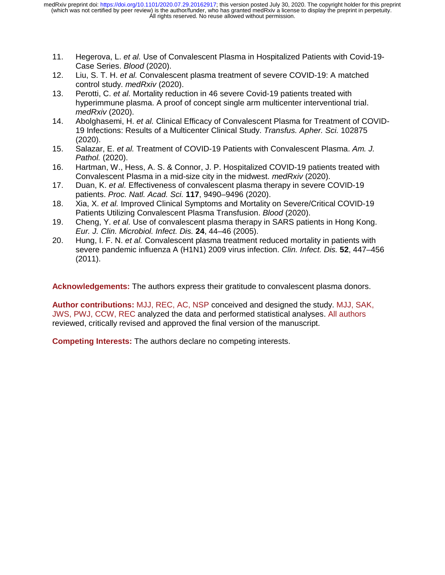- 11. Hegerova, L. *et al.* Use of Convalescent Plasma in Hospitalized Patients with Covid-19- Case Series. *Blood* (2020).
- 12. Liu, S. T. H. *et al.* Convalescent plasma treatment of severe COVID-19: A matched control study. *medRxiv* (2020).
- 13. Perotti, C. *et al.* Mortality reduction in 46 severe Covid-19 patients treated with hyperimmune plasma. A proof of concept single arm multicenter interventional trial. *medRxiv* (2020).
- 14. Abolghasemi, H. *et al.* Clinical Efficacy of Convalescent Plasma for Treatment of COVID-19 Infections: Results of a Multicenter Clinical Study. *Transfus. Apher. Sci.* 102875 (2020).
- 15. Salazar, E. *et al.* Treatment of COVID-19 Patients with Convalescent Plasma. *Am. J. Pathol.* (2020).
- 16. Hartman, W., Hess, A. S. & Connor, J. P. Hospitalized COVID-19 patients treated with Convalescent Plasma in a mid-size city in the midwest. *medRxiv* (2020).
- 17. Duan, K. *et al.* Effectiveness of convalescent plasma therapy in severe COVID-19 patients. *Proc. Natl. Acad. Sci.* **117**, 9490–9496 (2020).
- 18. Xia, X. *et al.* Improved Clinical Symptoms and Mortality on Severe/Critical COVID-19 Patients Utilizing Convalescent Plasma Transfusion. *Blood* (2020).
- 19. Cheng, Y. *et al.* Use of convalescent plasma therapy in SARS patients in Hong Kong. *Eur. J. Clin. Microbiol. Infect. Dis.* **24**, 44–46 (2005).
- 20. Hung, I. F. N. *et al.* Convalescent plasma treatment reduced mortality in patients with severe pandemic influenza A (H1N1) 2009 virus infection. *Clin. Infect. Dis.* **52**, 447–456 (2011).

**Acknowledgements:** The authors express their gratitude to convalescent plasma donors.

**Author contributions:** MJJ, REC, AC, NSP conceived and designed the study. MJJ, SAK, JWS, PWJ, CCW, REC analyzed the data and performed statistical analyses. All authors reviewed, critically revised and approved the final version of the manuscript.

**Competing Interests:** The authors declare no competing interests.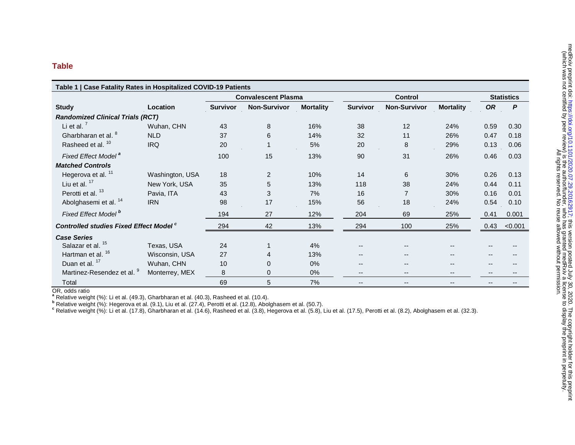#### **Table**

| Table 1   Case Fatality Rates in Hospitalized COVID-19 Patients |                 |                            |                     |                  |                 |                          |                  |                   |         |
|-----------------------------------------------------------------|-----------------|----------------------------|---------------------|------------------|-----------------|--------------------------|------------------|-------------------|---------|
|                                                                 |                 | <b>Convalescent Plasma</b> |                     |                  | <b>Control</b>  |                          |                  | <b>Statistics</b> |         |
| <b>Study</b>                                                    | Location        | <b>Survivor</b>            | <b>Non-Survivor</b> | <b>Mortality</b> | <b>Survivor</b> | <b>Non-Survivor</b>      | <b>Mortality</b> | <b>OR</b>         | P       |
| <b>Randomized Clinical Trials (RCT)</b>                         |                 |                            |                     |                  |                 |                          |                  |                   |         |
| Li et al. $7$                                                   | Wuhan, CHN      | 43                         | 8                   | 16%              | 38              | 12                       | 24%              | 0.59              | 0.30    |
| Gharbharan et al. <sup>8</sup>                                  | <b>NLD</b>      | 37                         | 6                   | 14%              | 32              | 11                       | 26%              | 0.47              | 0.18    |
| Rasheed et al. <sup>10</sup>                                    | <b>IRQ</b>      | 20                         |                     | 5%               | 20              | 8                        | 29%              | 0.13              | 0.06    |
| Fixed Effect Model <sup>a</sup>                                 |                 | 100                        | 15                  | 13%              | 90              | 31                       | 26%              | 0.46              | 0.03    |
| <b>Matched Controls</b>                                         |                 |                            |                     |                  |                 |                          |                  |                   |         |
| Hegerova et al. <sup>11</sup>                                   | Washington, USA | 18                         | $\overline{2}$      | 10%              | 14              | 6                        | 30%              | 0.26              | 0.13    |
| Liu et al. $17$                                                 | New York, USA   | 35                         | 5                   | 13%              | 118             | 38                       | 24%              | 0.44              | 0.11    |
| Perotti et al. <sup>13</sup>                                    | Pavia, ITA      | 43                         | 3                   | 7%               | 16              |                          | 30%              | 0.16              | 0.01    |
| Abolghasemi et al. <sup>14</sup>                                | <b>IRN</b>      | 98                         | 17                  | 15%              | 56              | 18                       | 24%              | 0.54              | 0.10    |
| Fixed Effect Model <sup>b</sup>                                 |                 | 194                        | 27                  | 12%              | 204             | 69                       | 25%              | 0.41              | 0.001   |
| <b>Controlled studies Fixed Effect Model c</b>                  |                 | 294                        | 42                  | 13%              | 294             | 100                      | 25%              | 0.43              | < 0.001 |
| <b>Case Series</b>                                              |                 |                            |                     |                  |                 |                          |                  |                   |         |
| Salazar et al. <sup>15</sup>                                    | Texas, USA      | 24                         |                     | 4%               |                 |                          |                  |                   |         |
| Hartman et al. <sup>16</sup>                                    | Wisconsin, USA  | 27                         | 4                   | 13%              |                 |                          |                  |                   |         |
| Duan et al. <sup>17</sup>                                       | Wuhan, CHN      | 10                         | 0                   | $0\%$            | --              |                          |                  |                   |         |
| Martinez-Resendez et al. 9                                      | Monterrey, MEX  | 8                          | 0                   | $0\%$            | --              |                          |                  |                   |         |
| Total                                                           |                 | 69                         | 5                   | 7%               | --              | $\overline{\phantom{a}}$ | --               |                   |         |

OR, odds ratio

**<sup>a</sup>** Relative weight (%): Li et al. (49.3), Gharbharan et al. (40.3), Rasheed et al. (10.4).

**<sup>b</sup>** Relative weight (%): Hegerova et al. (9.1), Liu et al. (27.4), Perotti et al. (12.8), Abolghasem et al. (50.7).

**<sup>c</sup>** Relative weight (%): Li et al. (17.8), Gharbharan et al. (14.6), Rasheed et al. (3.8), Hegerova et al. (5.8), Liu et al. (17.5), Perotti et al. (8.2), Abolghasem et al. (32.3).